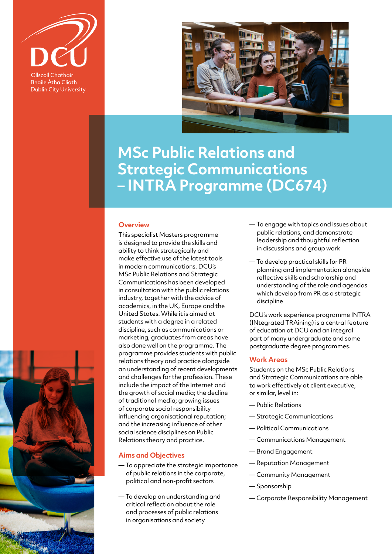

**Bhaile Átha Cliath Dublin City University** 



# **MSc Public Relations and Strategic Communications – INTRA Programme (DC674)**

## **Overview**

This specialist Masters programme is designed to provide the skills and ability to think strategically and make effective use of the latest tools in modern communications. DCU's MSc Public Relations and Strategic Communications has been developed in consultation with the public relations industry, together with the advice of academics, in the UK, Europe and the United States. While it is aimed at students with a degree in a related discipline, such as communications or marketing, graduates from areas have also done well on the programme. The programme provides students with public relations theory and practice alongside an understanding of recent developments and challenges for the profession. These include the impact of the Internet and the growth of social media; the decline of traditional media; growing issues of corporate social responsibility influencing organisational reputation; and the increasing influence of other social science disciplines on Public Relations theory and practice.

## **Aims and Objectives**

- To appreciate the strategic importance of public relations in the corporate, political and non-profit sectors
- To develop an understanding and critical reflection about the role and processes of public relations in organisations and society
- To engage with topics and issues about public relations, and demonstrate leadership and thoughtful reflection in discussions and group work
- To develop practical skills for PR planning and implementation alongside reflective skills and scholarship and understanding of the role and agendas which develop from PR as a strategic discipline

DCU's work experience programme INTRA (INtegrated TRAining) is a central feature of education at DCU and an integral part of many undergraduate and some postgraduate degree programmes.

## **Work Areas**

Students on the MSc Public Relations and Strategic Communications are able to work effectively at client executive, or similar, level in:

- Public Relations
- Strategic Communications
- Political Communications
- Communications Management
- Brand Engagement
- Reputation Management
- Community Management
- Sponsorship
- Corporate Responsibility Management